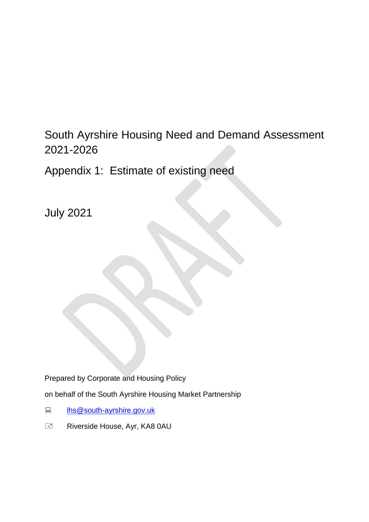South Ayrshire Housing Need and Demand Assessment 2021-2026

Appendix 1: Estimate of existing need

July 2021

Prepared by Corporate and Housing Policy

on behalf of the South Ayrshire Housing Market Partnership

- [lhs@south-ayrshire.gov.uk](mailto:lhs@south-ayrshire.gov.uk)
- Riverside House, Ayr, KA8 0AU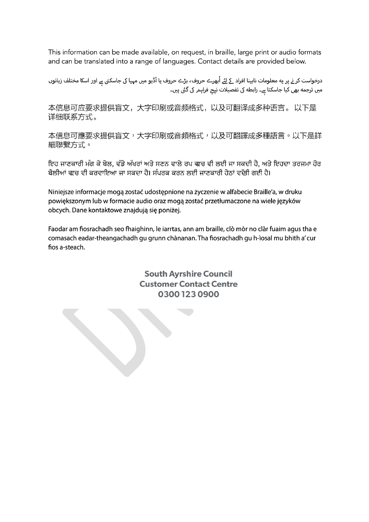This information can be made available, on request, in braille, large print or audio formats and can be translated into a range of languages. Contact details are provided below.

درخواست کر نے پر یه معلومات نابینا افراد \_کے لئے اُبھرے حروف، بڑے حروف یا آڈیو میں مہیا کی جاسکتی ہے اور اسکا مختلف زبانوں<br>میں ترجمه بھی کیا جاسکتا ہے۔ رابطه کی تفصیلات نیچ فراہمر کی گئی ہیں۔

本信息可应要求提供盲文,大字印刷或音频格式,以及可翻译成多种语言。 以下是 详细联系方式。

本信息可應要求提供盲文,大字印刷或音頻格式,以及可翻譯成多種語言。以下是詳 細聯繫方式。

ਇਹ ਜਾਣਕਾਰੀ ਮੰਗ ਕੇ ਬੇਲ, ਵੱਡੇ ਅੱਖਰਾਂ ਅਤੇ ਸਣਨ ਵਾਲੇ ਰਪ <del>ਵ</del>ਰਚ ਵੀ ਲਈ ਜਾ ਸਕਦੀ ਹੈ, ਅਤੇ ਇਹਦਾ ਤਰਜਮਾ ਹੋਰ ਬੋਲੀਆਂ ਵ੍ਵਚ ਵੀ ਕਰਵਾਇਆ ਜਾ ਸਕਦਾ ਹੈ। ਸੰਪਰਕ ਕਰਨ ਲਈ ਜਾਣਕਾਰੀ ਹੇਠਾਂ ਵੱਢੀ ਗਈ ਹੈ।

Niniejsze informacje mogą zostać udostępnione na życzenie w alfabecie Braille'a, w druku powiększonym lub w formacie audio oraz mogą zostać przetłumaczone na wiele języków obcych. Dane kontaktowe znajdują się poniżej.

Faodar am fiosrachadh seo fhaighinn, le iarrtas, ann am braille, clò mòr no clàr fuaim agus tha e comasach eadar-theangachadh gu grunn chànanan. Tha fiosrachadh gu h-ìosal mu bhith a' cur fios a-steach.

> **South Ayrshire Council Customer Contact Centre** 03001230900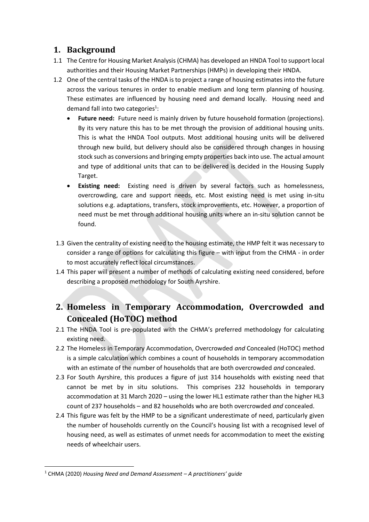# **1. Background**

- 1.1 The Centre for Housing Market Analysis (CHMA) has developed an HNDA Tool to support local authorities and their Housing Market Partnerships (HMPs) in developing their HNDA.
- 1.2 One of the central tasks of the HNDA is to project a range of housing estimates into the future across the various tenures in order to enable medium and long term planning of housing. These estimates are influenced by housing need and demand locally. Housing need and demand fall into two categories<sup>1</sup>:
	- Future need: Future need is mainly driven by future household formation (projections). By its very nature this has to be met through the provision of additional housing units. This is what the HNDA Tool outputs. Most additional housing units will be delivered through new build, but delivery should also be considered through changes in housing stock such as conversions and bringing empty properties back into use. The actual amount and type of additional units that can to be delivered is decided in the Housing Supply Target.
	- **Existing need:** Existing need is driven by several factors such as homelessness, overcrowding, care and support needs, etc. Most existing need is met using in-situ solutions e.g. adaptations, transfers, stock improvements, etc. However, a proportion of need must be met through additional housing units where an in-situ solution cannot be found.
- 1.3 Given the centrality of existing need to the housing estimate, the HMP felt it was necessary to consider a range of options for calculating this figure – with input from the CHMA - in order to most accurately reflect local circumstances.
- 1.4 This paper will present a number of methods of calculating existing need considered, before describing a proposed methodology for South Ayrshire.

# **2. Homeless in Temporary Accommodation, Overcrowded and Concealed (HoTOC) method**

- 2.1 The HNDA Tool is pre-populated with the CHMA's preferred methodology for calculating existing need.
- 2.2 The Homeless in Temporary Accommodation, Overcrowded *and* Concealed (HoTOC) method is a simple calculation which combines a count of households in temporary accommodation with an estimate of the number of households that are both overcrowded *and* concealed.
- 2.3 For South Ayrshire, this produces a figure of just 314 households with existing need that cannot be met by in situ solutions. This comprises 232 households in temporary accommodation at 31 March 2020 – using the lower HL1 estimate rather than the higher HL3 count of 237 households – and 82 households who are both overcrowded *and* concealed.
- 2.4 This figure was felt by the HMP to be a significant underestimate of need, particularly given the number of households currently on the Council's housing list with a recognised level of housing need, as well as estimates of unmet needs for accommodation to meet the existing needs of wheelchair users.

<sup>1</sup> CHMA (2020) *Housing Need and Demand Assessment – A practitioners' guide*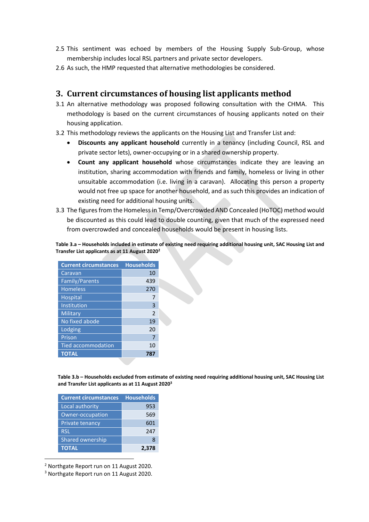- 2.5 This sentiment was echoed by members of the Housing Supply Sub-Group, whose membership includes local RSL partners and private sector developers.
- 2.6 As such, the HMP requested that alternative methodologies be considered.

# **3. Current circumstances of housing list applicants method**

- 3.1 An alternative methodology was proposed following consultation with the CHMA. This methodology is based on the current circumstances of housing applicants noted on their housing application.
- 3.2 This methodology reviews the applicants on the Housing List and Transfer List and:
	- **Discounts any applicant household** currently in a tenancy (including Council, RSL and private sector lets), owner-occupying or in a shared ownership property.
	- **Count any applicant household** whose circumstances indicate they are leaving an institution, sharing accommodation with friends and family, homeless or living in other unsuitable accommodation (i.e. living in a caravan). Allocating this person a property would not free up space for another household, and as such this provides an indication of existing need for additional housing units.
- 3.3 The figures from the Homeless in Temp/Overcrowded AND Concealed (HoTOC) method would be discounted as this could lead to double counting, given that much of the expressed need from overcrowded and concealed households would be present in housing lists.

**Table 3.a – Households included in estimate of existing need requiring additional housing unit, SAC Housing List and Transfer List applicants as at 11 August 2020<sup>2</sup>**

| <b>Current circumstances</b> | <b>Households</b> |  |  |  |
|------------------------------|-------------------|--|--|--|
| Caravan                      | 10                |  |  |  |
| Family/Parents               | 439               |  |  |  |
| <b>Homeless</b>              | 270               |  |  |  |
| <b>Hospital</b>              |                   |  |  |  |
| Institution                  | 3                 |  |  |  |
| Military                     | $\mathcal{P}$     |  |  |  |
| No fixed abode               | 19                |  |  |  |
| Lodging                      | 20                |  |  |  |
| Prison                       | 7                 |  |  |  |
| <b>Tied accommodation</b>    | 10                |  |  |  |
| <b>TOTAL</b>                 | 787               |  |  |  |

**Table 3.b – Households excluded from estimate of existing need requiring additional housing unit, SAC Housing List and Transfer List applicants as at 11 August 2020<sup>3</sup>**

| <b>Current circumstances</b> | <b>Households</b> |  |  |
|------------------------------|-------------------|--|--|
| Local authority              | 953               |  |  |
| Owner-occupation             | 569               |  |  |
| <b>Private tenancy</b>       | 601               |  |  |
| <b>RSL</b>                   | 247               |  |  |
| Shared ownership             | x                 |  |  |
| <b>TOTAL</b>                 | 2,378             |  |  |

<sup>2</sup> Northgate Report run on 11 August 2020.

1

<sup>3</sup> Northgate Report run on 11 August 2020.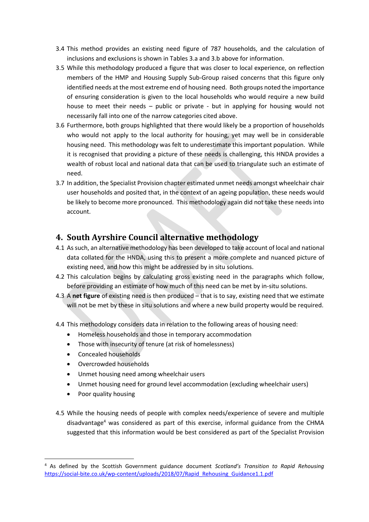- 3.4 This method provides an existing need figure of 787 households, and the calculation of inclusions and exclusions is shown in Tables 3.a and 3.b above for information.
- 3.5 While this methodology produced a figure that was closer to local experience, on reflection members of the HMP and Housing Supply Sub-Group raised concerns that this figure only identified needs at the most extreme end of housing need. Both groups noted the importance of ensuring consideration is given to the local households who would require a new build house to meet their needs – public or private - but in applying for housing would not necessarily fall into one of the narrow categories cited above.
- 3.6 Furthermore, both groups highlighted that there would likely be a proportion of households who would not apply to the local authority for housing, yet may well be in considerable housing need. This methodology was felt to underestimate this important population. While it is recognised that providing a picture of these needs is challenging, this HNDA provides a wealth of robust local and national data that can be used to triangulate such an estimate of need.
- 3.7 In addition, the Specialist Provision chapter estimated unmet needs amongst wheelchair chair user households and posited that, in the context of an ageing population, these needs would be likely to become more pronounced. This methodology again did not take these needs into account.

# **4. South Ayrshire Council alternative methodology**

- 4.1 As such, an alternative methodology has been developed to take account of local and national data collated for the HNDA, using this to present a more complete and nuanced picture of existing need, and how this might be addressed by in situ solutions.
- 4.2 This calculation begins by calculating gross existing need in the paragraphs which follow, before providing an estimate of how much of this need can be met by in-situ solutions.
- 4.3 A **net figure** of existing need is then produced that is to say, existing need that we estimate will not be met by these in situ solutions and where a new build property would be required.
- 4.4 This methodology considers data in relation to the following areas of housing need:
	- Homeless households and those in temporary accommodation
	- Those with insecurity of tenure (at risk of homelessness)
	- Concealed households
	- Overcrowded households
	- Unmet housing need among wheelchair users
	- Unmet housing need for ground level accommodation (excluding wheelchair users)
	- Poor quality housing

1

4.5 While the housing needs of people with complex needs/experience of severe and multiple disadvantage<sup>4</sup> was considered as part of this exercise, informal guidance from the CHMA suggested that this information would be best considered as part of the Specialist Provision

<sup>4</sup> As defined by the Scottish Government guidance document *Scotland's Transition to Rapid Rehousing*  [https://social-bite.co.uk/wp-content/uploads/2018/07/Rapid\\_Rehousing\\_Guidance1.1.pdf](https://social-bite.co.uk/wp-content/uploads/2018/07/Rapid_Rehousing_Guidance1.1.pdf)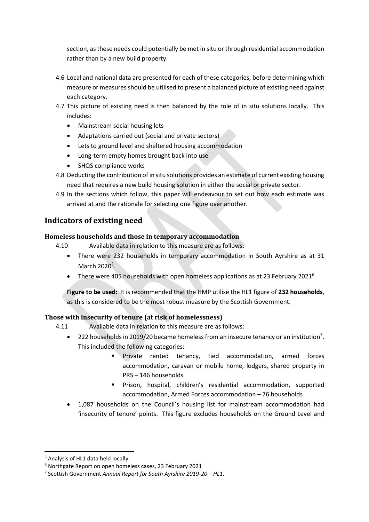section, as these needs could potentially be met in situ or through residential accommodation rather than by a new build property.

- 4.6 Local and national data are presented for each of these categories, before determining which measure or measures should be utilised to present a balanced picture of existing need against each category.
- 4.7 This picture of existing need is then balanced by the role of in situ solutions locally. This includes:
	- Mainstream social housing lets
	- Adaptations carried out (social and private sectors)
	- Lets to ground level and sheltered housing accommodation
	- Long-term empty homes brought back into use
	- SHQS compliance works
- 4.8 Deducting the contribution of in situ solutions provides an estimate of current existing housing need that requires a new build housing solution in either the social or private sector.
- 4.9 In the sections which follow, this paper will endeavour to set out how each estimate was arrived at and the rationale for selecting one figure over another.

# **Indicators of existing need**

## **Homeless households and those in temporary accommodation**

- 4.10 Available data in relation to this measure are as follows:
	- There were 232 households in temporary accommodation in South Ayrshire as at 31 March  $2020<sup>5</sup>$ .
	- There were 405 households with open homeless applications as at 23 February 2021<sup>6</sup>.

**Figure to be used:** It is recommended that the HMP utilise the HL1 figure of **232 households**, as this is considered to be the most robust measure by the Scottish Government.

## **Those with insecurity of tenure (at risk of homelessness)**

4.11 Available data in relation to this measure are as follows:

- 222 households in 2019/20 became homeless from an insecure tenancy or an institution<sup>7</sup>. This included the following categories:
	- **Private rented tenancy, tied accommodation, armed forces** accommodation, caravan or mobile home, lodgers, shared property in PRS – 146 households
	- Prison, hospital, children's residential accommodation, supported accommodation, Armed Forces accommodation – 76 households
- 1,087 households on the Council's housing list for mainstream accommodation had 'insecurity of tenure' points. This figure excludes households on the Ground Level and

<sup>5</sup> Analysis of HL1 data held locally.

<sup>6</sup> Northgate Report on open homeless cases, 23 February 2021

<sup>7</sup> Scottish Government *Annual Report for South Ayrshire 2019-20 – HL1*.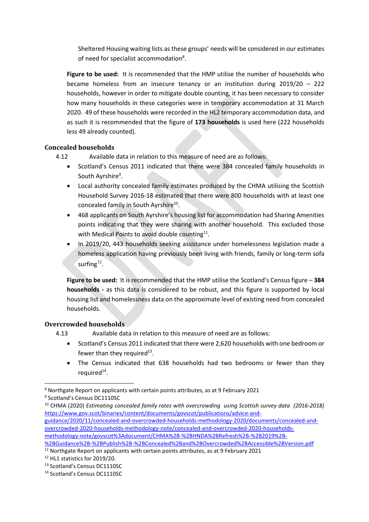Sheltered Housing waiting lists as these groups' needs will be considered in our estimates of need for specialist accommodation<sup>8</sup>.

**Figure to be used:** It is recommended that the HMP utilise the number of households who became homeless from an insecure tenancy or an institution during 2019/20 – 222 households, however in order to mitigate double counting, it has been necessary to consider how many households in these categories were in temporary accommodation at 31 March 2020. 49 of these households were recorded in the HL2 temporary accommodation data, and as such it is recommended that the figure of **173 households** is used here (222 households less 49 already counted).

## **Concealed households**

- 4.12 Available data in relation to this measure of need are as follows:
	- Scotland's Census 2011 indicated that there were 384 concealed family households in South Ayrshire<sup>9</sup>.
	- Local authority concealed family estimates produced by the CHMA utilising the Scottish Household Survey 2016-18 estimated that there were 800 households with at least one concealed family in South Ayrshire<sup>10</sup>.
	- 468 applicants on South Ayrshire's housing list for accommodation had Sharing Amenities points indicating that they were sharing with another household. This excluded those with Medical Points to avoid double counting<sup>11</sup>.
	- In 2019/20, 443 households seeking assistance under homelessness legislation made a homeless application having previously been living with friends, family or long-term sofa surfing $12$ .

**Figure to be used:** It is recommended that the HMP utilise the Scotland's Census figure – **384 households -** as this data is considered to be robust, and this figure is supported by local housing list and homelessness data on the approximate level of existing need from concealed households.

# **Overcrowded households**

- 4.13 Available data in relation to this measure of need are as follows:
	- Scotland's Census 2011 indicated that there were 2,620 households with one bedroom or fewer than they required $^{13}$ .
	- The Census indicated that 638 households had two bedrooms or fewer than they required<sup>14</sup>.

**<sup>.</sup>** <sup>8</sup> Northgate Report on applicants with certain points attributes, as at 9 February 2021 <sup>9</sup> Scotland's Census DC1110SC

<sup>10</sup> CHMA (2020) *Estimating concealed family rates with overcrowding using Scottish survey data (2016-2018) https*[://www.gov.scot/binaries/content/documents/govscot/publications/advice-and](https://www.gov.scot/binaries/content/documents/govscot/publications/advice-and-guidance/2020/11/concealed-and-overcrowded-households-methodology-2020/documents/concealed-and-overcrowded-2020-households-methodology-note/concealed-and-overcrowded-2020-households-methodology-note/govscot%3Adocument/CHMA%2B-%2BHNDA%2BRefresh%2B-%2B2019%2B-%2BGuidance%2B-%2BPublish%2B-%2BConcealed%2Band%2BOvercrowded%2BAccessible%2BVersion.pdf)[guidance/2020/11/concealed-and-overcrowded-households-methodology-2020/documents/concealed-and](https://www.gov.scot/binaries/content/documents/govscot/publications/advice-and-guidance/2020/11/concealed-and-overcrowded-households-methodology-2020/documents/concealed-and-overcrowded-2020-households-methodology-note/concealed-and-overcrowded-2020-households-methodology-note/govscot%3Adocument/CHMA%2B-%2BHNDA%2BRefresh%2B-%2B2019%2B-%2BGuidance%2B-%2BPublish%2B-%2BConcealed%2Band%2BOvercrowded%2BAccessible%2BVersion.pdf)[overcrowded-2020-households-methodology-note/concealed-and-overcrowded-2020-households](https://www.gov.scot/binaries/content/documents/govscot/publications/advice-and-guidance/2020/11/concealed-and-overcrowded-households-methodology-2020/documents/concealed-and-overcrowded-2020-households-methodology-note/concealed-and-overcrowded-2020-households-methodology-note/govscot%3Adocument/CHMA%2B-%2BHNDA%2BRefresh%2B-%2B2019%2B-%2BGuidance%2B-%2BPublish%2B-%2BConcealed%2Band%2BOvercrowded%2BAccessible%2BVersion.pdf)[methodology-note/govscot%3Adocument/CHMA%2B-%2BHNDA%2BRefresh%2B-%2B2019%2B-](https://www.gov.scot/binaries/content/documents/govscot/publications/advice-and-guidance/2020/11/concealed-and-overcrowded-households-methodology-2020/documents/concealed-and-overcrowded-2020-households-methodology-note/concealed-and-overcrowded-2020-households-methodology-note/govscot%3Adocument/CHMA%2B-%2BHNDA%2BRefresh%2B-%2B2019%2B-%2BGuidance%2B-%2BPublish%2B-%2BConcealed%2Band%2BOvercrowded%2BAccessible%2BVersion.pdf)

[<sup>%2</sup>BGuidance%2B-%2BPublish%2B-%2BConcealed%2Band%2BOvercrowded%2BAccessible%2BVersion.pdf](https://www.gov.scot/binaries/content/documents/govscot/publications/advice-and-guidance/2020/11/concealed-and-overcrowded-households-methodology-2020/documents/concealed-and-overcrowded-2020-households-methodology-note/concealed-and-overcrowded-2020-households-methodology-note/govscot%3Adocument/CHMA%2B-%2BHNDA%2BRefresh%2B-%2B2019%2B-%2BGuidance%2B-%2BPublish%2B-%2BConcealed%2Band%2BOvercrowded%2BAccessible%2BVersion.pdf)

<sup>&</sup>lt;sup>11</sup> Northgate Report on applicants with certain points attributes, as at 9 February 2021

<sup>12</sup> HL1 statistics for 2019/20.

<sup>13</sup> Scotland's Census DC1110SC

<sup>14</sup> Scotland's Census DC1110SC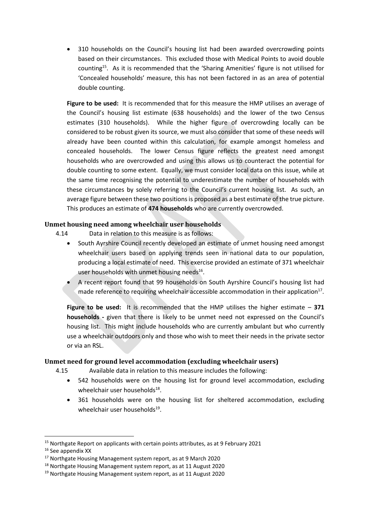310 households on the Council's housing list had been awarded overcrowding points based on their circumstances. This excluded those with Medical Points to avoid double counting<sup>15</sup>. As it is recommended that the 'Sharing Amenities' figure is not utilised for 'Concealed households' measure, this has not been factored in as an area of potential double counting.

**Figure to be used:** It is recommended that for this measure the HMP utilises an average of the Council's housing list estimate (638 households) and the lower of the two Census estimates (310 households). While the higher figure of overcrowding locally can be considered to be robust given its source, we must also consider that some of these needs will already have been counted within this calculation, for example amongst homeless and concealed households. The lower Census figure reflects the greatest need amongst households who are overcrowded and using this allows us to counteract the potential for double counting to some extent. Equally, we must consider local data on this issue, while at the same time recognising the potential to underestimate the number of households with these circumstances by solely referring to the Council's current housing list. As such, an average figure between these two positions is proposed as a best estimate of the true picture. This produces an estimate of **474 households** who are currently overcrowded.

## **Unmet housing need among wheelchair user households**

4.14 Data in relation to this measure is as follows:

- South Ayrshire Council recently developed an estimate of unmet housing need amongst wheelchair users based on applying trends seen in national data to our population, producing a local estimate of need. This exercise provided an estimate of 371 wheelchair user households with unmet housing needs<sup>16</sup>.
	- A recent report found that 99 households on South Ayrshire Council's housing list had made reference to requiring wheelchair accessible accommodation in their application<sup>17</sup>.

**Figure to be used:** It is recommended that the HMP utilises the higher estimate – **371 households -** given that there is likely to be unmet need not expressed on the Council's housing list. This might include households who are currently ambulant but who currently use a wheelchair outdoors only and those who wish to meet their needs in the private sector or via an RSL.

#### **Unmet need for ground level accommodation (excluding wheelchair users)**

4.15 Available data in relation to this measure includes the following:

- 542 households were on the housing list for ground level accommodation, excluding wheelchair user households<sup>18</sup>.
- 361 households were on the housing list for sheltered accommodation, excluding wheelchair user households<sup>19</sup>.

<sup>&</sup>lt;sup>15</sup> Northgate Report on applicants with certain points attributes, as at 9 February 2021

<sup>&</sup>lt;sup>16</sup> See appendix XX

<sup>17</sup> Northgate Housing Management system report, as at 9 March 2020

<sup>18</sup> Northgate Housing Management system report, as at 11 August 2020

<sup>&</sup>lt;sup>19</sup> Northgate Housing Management system report, as at 11 August 2020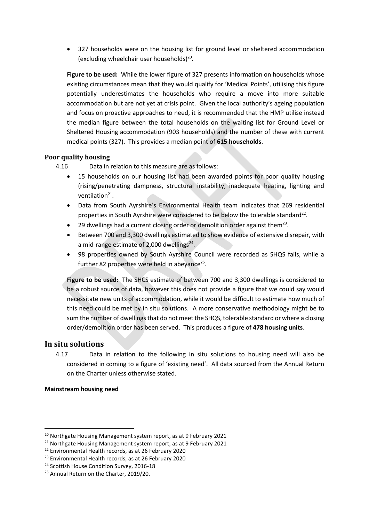327 households were on the housing list for ground level or sheltered accommodation (excluding wheelchair user households) $^{20}$ .

**Figure to be used:** While the lower figure of 327 presents information on households whose existing circumstances mean that they would qualify for 'Medical Points', utilising this figure potentially underestimates the households who require a move into more suitable accommodation but are not yet at crisis point. Given the local authority's ageing population and focus on proactive approaches to need, it is recommended that the HMP utilise instead the median figure between the total households on the waiting list for Ground Level or Sheltered Housing accommodation (903 households) and the number of these with current medical points (327). This provides a median point of **615 households**.

## **Poor quality housing**

4.16 Data in relation to this measure are as follows:

- 15 households on our housing list had been awarded points for poor quality housing (rising/penetrating dampness, structural instability, inadequate heating, lighting and ventilation<sup>21</sup>.
- Data from South Ayrshire's Environmental Health team indicates that 269 residential properties in South Ayrshire were considered to be below the tolerable standard<sup>22</sup>.
- $\bullet$  29 dwellings had a current closing order or demolition order against them<sup>23</sup>.
- Between 700 and 3,300 dwellings estimated to show evidence of extensive disrepair, with a mid-range estimate of 2,000 dwellings<sup>24</sup>.
- 98 properties owned by South Ayrshire Council were recorded as SHQS fails, while a further 82 properties were held in abeyance<sup>25</sup>.

**Figure to be used:** The SHCS estimate of between 700 and 3,300 dwellings is considered to be a robust source of data, however this does not provide a figure that we could say would necessitate new units of accommodation, while it would be difficult to estimate how much of this need could be met by in situ solutions. A more conservative methodology might be to sum the number of dwellings that do not meet the SHQS, tolerable standard or where a closing order/demolition order has been served. This produces a figure of **478 housing units**.

## **In situ solutions**

4.17 Data in relation to the following in situ solutions to housing need will also be considered in coming to a figure of 'existing need'. All data sourced from the Annual Return on the Charter unless otherwise stated.

#### **Mainstream housing need**

<sup>&</sup>lt;sup>20</sup> Northgate Housing Management system report, as at 9 February 2021

<sup>&</sup>lt;sup>21</sup> Northgate Housing Management system report, as at 9 February 2021

<sup>22</sup> Environmental Health records, as at 26 February 2020

<sup>23</sup> Environmental Health records, as at 26 February 2020

<sup>&</sup>lt;sup>24</sup> Scottish House Condition Survey, 2016-18

<sup>&</sup>lt;sup>25</sup> Annual Return on the Charter, 2019/20.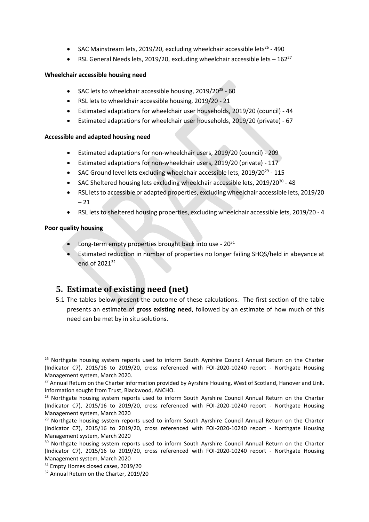- SAC Mainstream lets, 2019/20, excluding wheelchair accessible lets<sup>26</sup> 490
- RSL General Needs lets, 2019/20, excluding wheelchair accessible lets  $-162^{27}$

## **Wheelchair accessible housing need**

- SAC lets to wheelchair accessible housing, 2019/20<sup>28</sup> 60
- RSL lets to wheelchair accessible housing, 2019/20 21
- Estimated adaptations for wheelchair user households, 2019/20 (council) 44
- Estimated adaptations for wheelchair user households, 2019/20 (private) 67

# **Accessible and adapted housing need**

- Estimated adaptations for non-wheelchair users, 2019/20 (council) 209
- Estimated adaptations for non-wheelchair users, 2019/20 (private) 117
- SAC Ground level lets excluding wheelchair accessible lets, 2019/20<sup>29</sup> 115
- SAC Sheltered housing lets excluding wheelchair accessible lets, 2019/20<sup>30</sup> 48
- RSL lets to accessible or adapted properties, excluding wheelchair accessible lets, 2019/20  $-21$
- RSL lets to sheltered housing properties, excluding wheelchair accessible lets, 2019/20 4

# **Poor quality housing**

 $\overline{a}$ 

- Long-term empty properties brought back into use  $20^{31}$
- Estimated reduction in number of properties no longer failing SHQS/held in abeyance at end of 2021<sup>32</sup>

# **5. Estimate of existing need (net)**

5.1 The tables below present the outcome of these calculations. The first section of the table presents an estimate of **gross existing need**, followed by an estimate of how much of this need can be met by in situ solutions.

<sup>&</sup>lt;sup>26</sup> Northgate housing system reports used to inform South Ayrshire Council Annual Return on the Charter (Indicator C7), 2015/16 to 2019/20, cross referenced with FOI-2020-10240 report - Northgate Housing Management system, March 2020.

<sup>&</sup>lt;sup>27</sup> Annual Return on the Charter information provided by Ayrshire Housing, West of Scotland, Hanover and Link. Information sought from Trust, Blackwood, ANCHO.

<sup>&</sup>lt;sup>28</sup> Northgate housing system reports used to inform South Ayrshire Council Annual Return on the Charter (Indicator C7), 2015/16 to 2019/20, cross referenced with FOI-2020-10240 report - Northgate Housing Management system, March 2020

 $29$  Northgate housing system reports used to inform South Ayrshire Council Annual Return on the Charter (Indicator C7), 2015/16 to 2019/20, cross referenced with FOI-2020-10240 report - Northgate Housing Management system, March 2020

<sup>&</sup>lt;sup>30</sup> Northgate housing system reports used to inform South Ayrshire Council Annual Return on the Charter (Indicator C7), 2015/16 to 2019/20, cross referenced with FOI-2020-10240 report - Northgate Housing Management system, March 2020

<sup>&</sup>lt;sup>31</sup> Empty Homes closed cases, 2019/20

<sup>32</sup> Annual Return on the Charter, 2019/20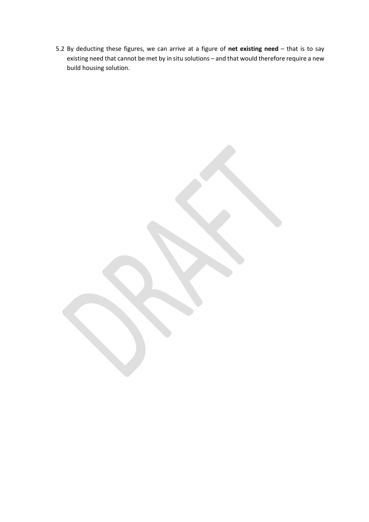5.2 By deducting these figures, we can arrive at a figure of **net existing need** – that is to say existing need that cannot be met by in situ solutions – and that would therefore require a new build housing solution.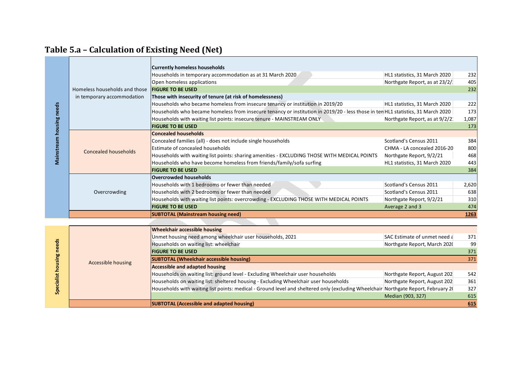|                                                      |                               | <b>Currently homeless households</b>                                                                                               |                                |       |
|------------------------------------------------------|-------------------------------|------------------------------------------------------------------------------------------------------------------------------------|--------------------------------|-------|
|                                                      |                               | Households in temporary accommodation as at 31 March 2020                                                                          | HL1 statistics, 31 March 2020  | 232   |
| Mainstream housing needs<br>Specialist housing needs |                               | Open homeless applications                                                                                                         | Northgate Report, as at 23/2/  | 405   |
|                                                      | Homeless households and those | <b>FIGURE TO BE USED</b>                                                                                                           |                                | 232   |
|                                                      | in temporary accommodation    | Those with insecurity of tenure (at risk of homelessness)                                                                          |                                |       |
|                                                      |                               | Households who became homeless from insecure tenancy or institution in 2019/20                                                     | HL1 statistics, 31 March 2020  | 222   |
|                                                      |                               | Households who became homeless from insecure tenancy or institution in 2019/20 - less those in ten HL1 statistics, 31 March 2020   |                                | 173   |
|                                                      |                               | Households with waiting list points: insecure tenure - MAINSTREAM ONLY                                                             | Northgate Report, as at 9/2/2. | 1,087 |
|                                                      |                               | <b>FIGURE TO BE USED</b>                                                                                                           |                                | 173   |
|                                                      |                               | <b>Concealed households</b>                                                                                                        |                                |       |
|                                                      | <b>Concealed households</b>   | Concealed families (all) - does not include single households                                                                      | Scotland's Census 2011         | 384   |
|                                                      |                               | Estimate of concealed households                                                                                                   | CHMA - LA concealed 2016-20    | 800   |
|                                                      |                               | Households with waiting list points: sharing amenities - EXCLUDING THOSE WITH MEDICAL POINTS                                       | Northgate Report, 9/2/21       | 468   |
|                                                      |                               | Households who have become homeless from friends/family/sofa surfing                                                               | HL1 statistics, 31 March 2020  | 443   |
|                                                      |                               | <b>FIGURE TO BE USED</b>                                                                                                           |                                | 384   |
|                                                      |                               | <b>Overcrowded households</b>                                                                                                      |                                |       |
|                                                      | Overcrowding                  | Households with 1 bedrooms or fewer than needed                                                                                    | Scotland's Census 2011         | 2,620 |
|                                                      |                               | Households with 2 bedrooms or fewer than needed                                                                                    | Scotland's Census 2011         | 638   |
|                                                      |                               | Households with waiting list points: overcrowding - EXCLUDING THOSE WITH MEDICAL POINTS                                            | Northgate Report, 9/2/21       | 310   |
|                                                      |                               | <b>FIGURE TO BE USED</b>                                                                                                           | Average 2 and 3                | 474   |
|                                                      |                               | <b>SUBTOTAL (Mainstream housing need)</b>                                                                                          |                                | 1263  |
|                                                      |                               |                                                                                                                                    |                                |       |
|                                                      |                               | <b>Wheelchair accessible housing</b>                                                                                               |                                |       |
|                                                      |                               | Unmet housing need among wheelchair user households, 2021                                                                          | SAC Estimate of unmet need a   | 371   |
|                                                      |                               | Households on waiting list: wheelchair                                                                                             | Northgate Report, March 2020   | 99    |
|                                                      |                               | <b>FIGURE TO BE USED</b>                                                                                                           |                                | 371   |
|                                                      |                               | <b>SUBTOTAL (Wheelchair accessible housing)</b>                                                                                    |                                | 371   |
|                                                      | <b>Accessible housing</b>     | <b>Accessible and adapted housing</b>                                                                                              |                                |       |
|                                                      |                               | Households on waiting list: ground level - Excluding Wheelchair user households                                                    | Northgate Report, August 202   | 542   |
|                                                      |                               | Households on waiting list: sheltered housing - Excluding Wheelchair user households                                               | Northgate Report, August 202   | 361   |
|                                                      |                               | Households with waiting list points: medical - Ground level and sheltered only (excluding Wheelchair Northgate Report, February 2( |                                | 327   |
|                                                      |                               |                                                                                                                                    | Median (903, 327)              | 615   |
|                                                      |                               | <b>SUBTOTAL (Accessible and adapted housing)</b>                                                                                   |                                | 615   |

# **Table 5.a – Calculation of Existing Need (Net)**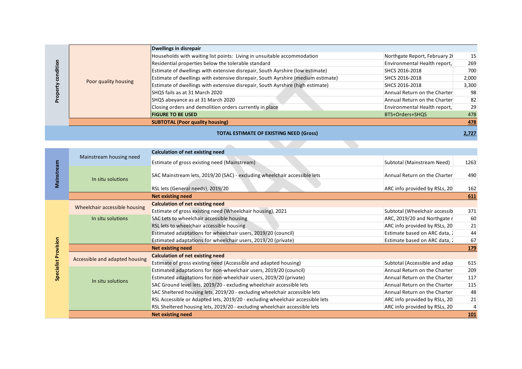|                      | Dwellings in disrepair                                                           |                               |       |
|----------------------|----------------------------------------------------------------------------------|-------------------------------|-------|
| Poor quality housing | Households with waiting list points: Living in unsuitable accommodation          | Northgate Report, February 20 | 15    |
|                      | Residential properties below the tolerable standard                              | Environmental Health report,  | 269   |
|                      | Estimate of dwellings with extensive disrepair, South Ayrshire (low estimate)    | SHCS 2016-2018                | 700   |
|                      | Estimate of dwellings with extensive disrepair, South Ayrshire (medium estimate) | SHCS 2016-2018                | 2,000 |
|                      | Estimate of dwellings with extensive disrepair, South Ayrshire (high estimate)   | SHCS 2016-2018                | 3,300 |
|                      | SHQS fails as at 31 March 2020                                                   | Annual Return on the Charter  | 98    |
|                      | SHQS abeyance as at 31 March 2020                                                | Annual Return on the Charter  | 82    |
|                      | Closing orders and demolition orders currently in place                          | Environmental Health report,  | 29    |
|                      | <b>FIGURE TO BE USED</b>                                                         | BTS+Orders+SHQS               | 478   |
|                      | <b>SUBTOTAL (Poor quality housing)</b>                                           |                               | 478   |
|                      | <b>TOTAL ESTIMATE OF EXISTING NEED (Gross)</b>                                   |                               | 2,727 |

|            |                                | <b>Calculation of net existing need</b>                                        |                               |            |
|------------|--------------------------------|--------------------------------------------------------------------------------|-------------------------------|------------|
| Mainstream | Mainstream housing need        | Estimate of gross existing need (Mainstream)                                   | Subtotal (Mainstream Need)    | 1263       |
|            | In situ solutions              | SAC Mainstream lets, 2019/20 (SAC) - excluding wheelchair accessible lets      | Annual Return on the Charter  | 490        |
|            |                                | RSL lets (General needs), 2019/20                                              | ARC info provided by RSLs, 20 | 162        |
|            |                                | <b>Net existing need</b>                                                       |                               | 611        |
|            | Wheelchair accessible housing  | <b>Calculation of net existing need</b>                                        |                               |            |
|            |                                | Estimate of gross existing need (Wheelchair housing), 2021                     | Subtotal (Wheelchair accessib | 371        |
|            | In situ solutions              | SAC Lets to wheelchair accessible housing                                      | ARC, 2019/20 and Northgate r  | 60         |
|            |                                | RSL lets to wheelchair accessible housing                                      | ARC info provided by RSLs, 20 | 21         |
|            |                                | Estimated adaptations for wheelchair users, 2019/20 (council)                  | Estimate based on ARC data, 1 | 44         |
|            |                                | Estimated adaptations for wheelchair users, 2019/20 (private)                  | Estimate based on ARC data, 1 | 67         |
| Provision  |                                | <b>Net existing need</b>                                                       |                               | <u>179</u> |
|            | Accessible and adapted housing | <b>Calculation of net existing need</b>                                        |                               |            |
|            |                                | Estimate of gross existing need (Accessible and adapted housing)               | Subtotal (Accessible and adap | 615        |
| Specialis  | In situ solutions              | Estimated adaptations for non-wheelchair users, 2019/20 (council)              | Annual Return on the Charter  | 209        |
|            |                                | Estimated adaptations for non-wheelchair users, 2019/20 (private)              | Annual Return on the Charter  | 117        |
|            |                                | SAC Ground level lets, 2019/20 - excluding wheelchair accessible lets          | Annual Return on the Charter  | 115        |
|            |                                | SAC Sheltered housing lets, 2019/20 - excluding wheelchair accessible lets     | Annual Return on the Charter  | 48         |
|            |                                | RSL Accessible or Adapted lets, 2019/20 - excluding wheelchair accessible lets | ARC info provided by RSLs, 20 | 21         |
|            |                                | RSL Sheltered housing lets, 2019/20 - excluding wheelchair accessible lets     | ARC info provided by RSLs, 20 |            |
|            |                                | <b>Net existing need</b>                                                       |                               | <u>101</u> |